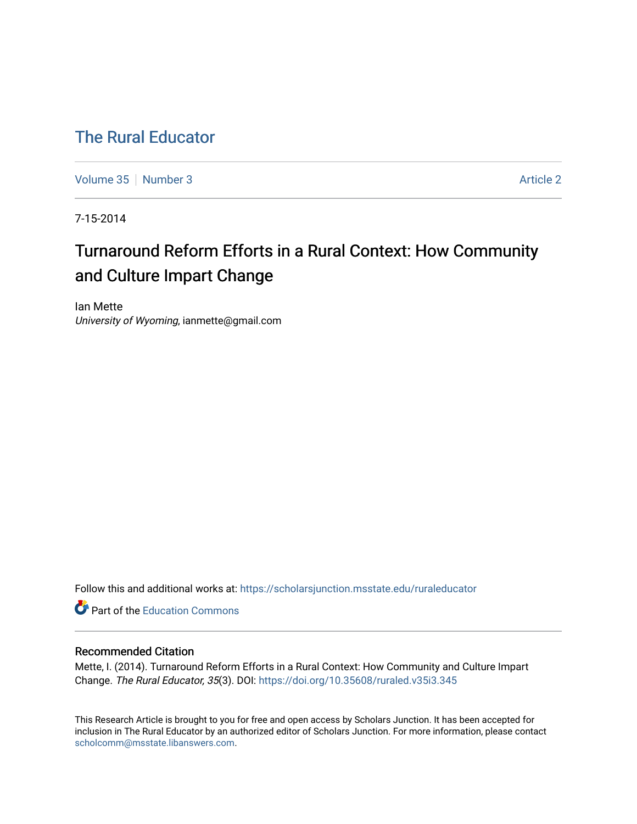# [The Rural Educator](https://scholarsjunction.msstate.edu/ruraleducator)

[Volume 35](https://scholarsjunction.msstate.edu/ruraleducator/vol35) [Number 3](https://scholarsjunction.msstate.edu/ruraleducator/vol35/iss3) Article 2

7-15-2014

# Turnaround Reform Efforts in a Rural Context: How Community and Culture Impart Change

Ian Mette University of Wyoming, ianmette@gmail.com

Follow this and additional works at: [https://scholarsjunction.msstate.edu/ruraleducator](https://scholarsjunction.msstate.edu/ruraleducator?utm_source=scholarsjunction.msstate.edu%2Fruraleducator%2Fvol35%2Fiss3%2F2&utm_medium=PDF&utm_campaign=PDFCoverPages)

Part of the [Education Commons](http://network.bepress.com/hgg/discipline/784?utm_source=scholarsjunction.msstate.edu%2Fruraleducator%2Fvol35%2Fiss3%2F2&utm_medium=PDF&utm_campaign=PDFCoverPages)

## Recommended Citation

Mette, I. (2014). Turnaround Reform Efforts in a Rural Context: How Community and Culture Impart Change. The Rural Educator, 35(3). DOI: <https://doi.org/10.35608/ruraled.v35i3.345>

This Research Article is brought to you for free and open access by Scholars Junction. It has been accepted for inclusion in The Rural Educator by an authorized editor of Scholars Junction. For more information, please contact [scholcomm@msstate.libanswers.com.](mailto:scholcomm@msstate.libanswers.com)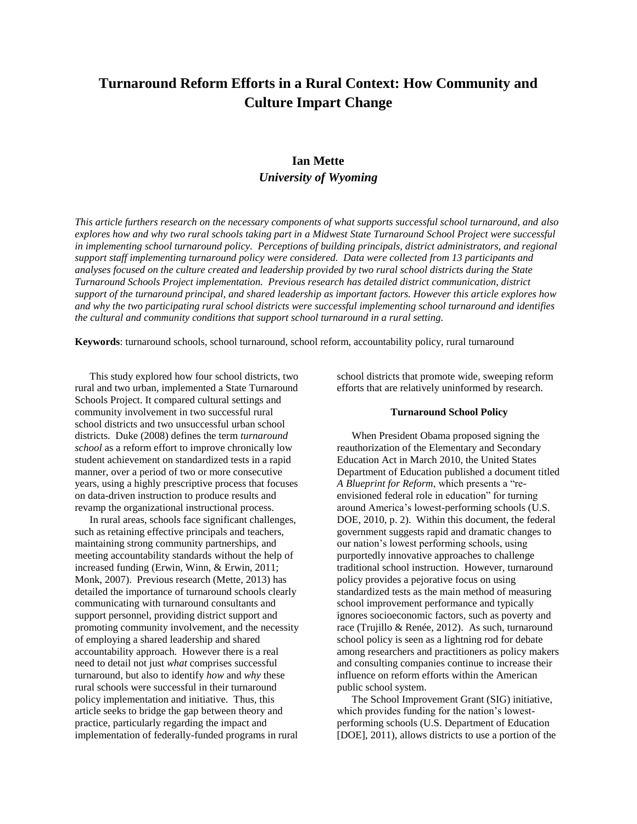# **Turnaround Reform Efforts in a Rural Context: How Community and Culture Impart Change**

## **Ian Mette** *University of Wyoming*

*This article furthers research on the necessary components of what supports successful school turnaround, and also explores how and why two rural schools taking part in a Midwest State Turnaround School Project were successful in implementing school turnaround policy. Perceptions of building principals, district administrators, and regional support staff implementing turnaround policy were considered. Data were collected from 13 participants and analyses focused on the culture created and leadership provided by two rural school districts during the State Turnaround Schools Project implementation. Previous research has detailed district communication, district support of the turnaround principal, and shared leadership as important factors. However this article explores how and why the two participating rural school districts were successful implementing school turnaround and identifies the cultural and community conditions that support school turnaround in a rural setting.*

**Keywords**: turnaround schools, school turnaround, school reform, accountability policy, rural turnaround

This study explored how four school districts, two rural and two urban, implemented a State Turnaround Schools Project. It compared cultural settings and community involvement in two successful rural school districts and two unsuccessful urban school districts. Duke (2008) defines the term *turnaround school* as a reform effort to improve chronically low student achievement on standardized tests in a rapid manner, over a period of two or more consecutive years, using a highly prescriptive process that focuses on data-driven instruction to produce results and revamp the organizational instructional process.

In rural areas, schools face significant challenges, such as retaining effective principals and teachers, maintaining strong community partnerships, and meeting accountability standards without the help of increased funding (Erwin, Winn, & Erwin, 2011; Monk, 2007). Previous research (Mette, 2013) has detailed the importance of turnaround schools clearly communicating with turnaround consultants and support personnel, providing district support and promoting community involvement, and the necessity of employing a shared leadership and shared accountability approach. However there is a real need to detail not just *what* comprises successful turnaround, but also to identify *how* and *why* these rural schools were successful in their turnaround policy implementation and initiative. Thus, this article seeks to bridge the gap between theory and practice, particularly regarding the impact and implementation of federally-funded programs in rural

school districts that promote wide, sweeping reform efforts that are relatively uninformed by research.

#### **Turnaround School Policy**

When President Obama proposed signing the reauthorization of the Elementary and Secondary Education Act in March 2010, the United States Department of Education published a document titled *A Blueprint for Reform*, which presents a "reenvisioned federal role in education" for turning around America's lowest-performing schools (U.S. DOE, 2010, p. 2). Within this document, the federal government suggests rapid and dramatic changes to our nation's lowest performing schools, using purportedly innovative approaches to challenge traditional school instruction. However, turnaround policy provides a pejorative focus on using standardized tests as the main method of measuring school improvement performance and typically ignores socioeconomic factors, such as poverty and race (Trujillo & Renée, 2012). As such, turnaround school policy is seen as a lightning rod for debate among researchers and practitioners as policy makers and consulting companies continue to increase their influence on reform efforts within the American public school system.

The School Improvement Grant (SIG) initiative, which provides funding for the nation's lowestperforming schools (U.S. Department of Education [DOE], 2011), allows districts to use a portion of the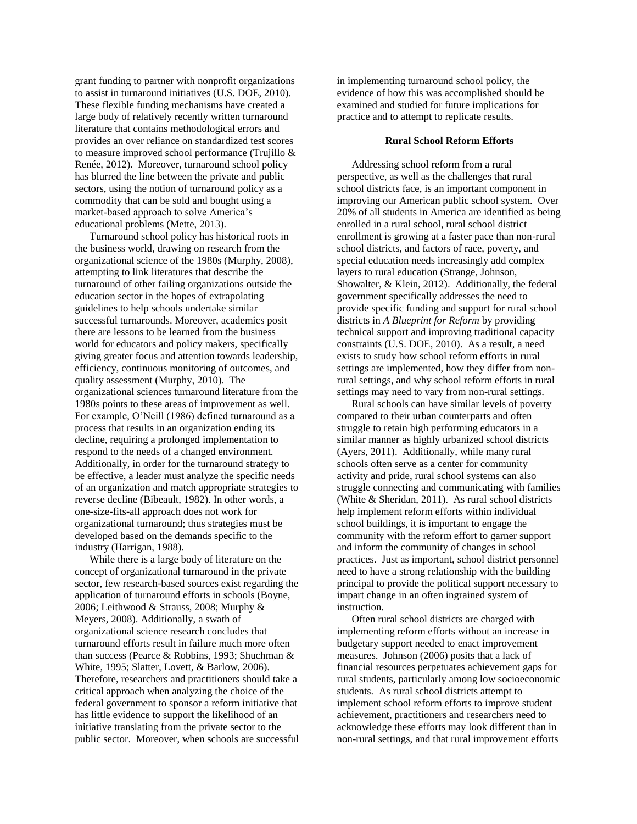grant funding to partner with nonprofit organizations to assist in turnaround initiatives (U.S. DOE, 2010). These flexible funding mechanisms have created a large body of relatively recently written turnaround literature that contains methodological errors and provides an over reliance on standardized test scores to measure improved school performance (Trujillo & Renée, 2012). Moreover, turnaround school policy has blurred the line between the private and public sectors, using the notion of turnaround policy as a commodity that can be sold and bought using a market-based approach to solve America's educational problems (Mette, 2013).

Turnaround school policy has historical roots in the business world, drawing on research from the organizational science of the 1980s (Murphy, 2008), attempting to link literatures that describe the turnaround of other failing organizations outside the education sector in the hopes of extrapolating guidelines to help schools undertake similar successful turnarounds. Moreover, academics posit there are lessons to be learned from the business world for educators and policy makers, specifically giving greater focus and attention towards leadership, efficiency, continuous monitoring of outcomes, and quality assessment (Murphy, 2010). The organizational sciences turnaround literature from the 1980s points to these areas of improvement as well. For example, O'Neill (1986) defined turnaround as a process that results in an organization ending its decline, requiring a prolonged implementation to respond to the needs of a changed environment. Additionally, in order for the turnaround strategy to be effective, a leader must analyze the specific needs of an organization and match appropriate strategies to reverse decline (Bibeault, 1982). In other words, a one-size-fits-all approach does not work for organizational turnaround; thus strategies must be developed based on the demands specific to the industry (Harrigan, 1988).

While there is a large body of literature on the concept of organizational turnaround in the private sector, few research-based sources exist regarding the application of turnaround efforts in schools (Boyne, 2006; Leithwood & Strauss, 2008; Murphy & Meyers, 2008). Additionally, a swath of organizational science research concludes that turnaround efforts result in failure much more often than success (Pearce & Robbins, 1993; Shuchman & White, 1995; Slatter, Lovett, & Barlow, 2006). Therefore, researchers and practitioners should take a critical approach when analyzing the choice of the federal government to sponsor a reform initiative that has little evidence to support the likelihood of an initiative translating from the private sector to the public sector. Moreover, when schools are successful in implementing turnaround school policy, the evidence of how this was accomplished should be examined and studied for future implications for practice and to attempt to replicate results.

#### **Rural School Reform Efforts**

Addressing school reform from a rural perspective, as well as the challenges that rural school districts face, is an important component in improving our American public school system. Over 20% of all students in America are identified as being enrolled in a rural school, rural school district enrollment is growing at a faster pace than non-rural school districts, and factors of race, poverty, and special education needs increasingly add complex layers to rural education (Strange, Johnson, Showalter, & Klein, 2012). Additionally, the federal government specifically addresses the need to provide specific funding and support for rural school districts in *A Blueprint for Reform* by providing technical support and improving traditional capacity constraints (U.S. DOE, 2010). As a result, a need exists to study how school reform efforts in rural settings are implemented, how they differ from nonrural settings, and why school reform efforts in rural settings may need to vary from non-rural settings.

Rural schools can have similar levels of poverty compared to their urban counterparts and often struggle to retain high performing educators in a similar manner as highly urbanized school districts (Ayers, 2011). Additionally, while many rural schools often serve as a center for community activity and pride, rural school systems can also struggle connecting and communicating with families (White & Sheridan, 2011). As rural school districts help implement reform efforts within individual school buildings, it is important to engage the community with the reform effort to garner support and inform the community of changes in school practices. Just as important, school district personnel need to have a strong relationship with the building principal to provide the political support necessary to impart change in an often ingrained system of instruction.

Often rural school districts are charged with implementing reform efforts without an increase in budgetary support needed to enact improvement measures. Johnson (2006) posits that a lack of financial resources perpetuates achievement gaps for rural students, particularly among low socioeconomic students. As rural school districts attempt to implement school reform efforts to improve student achievement, practitioners and researchers need to acknowledge these efforts may look different than in non-rural settings, and that rural improvement efforts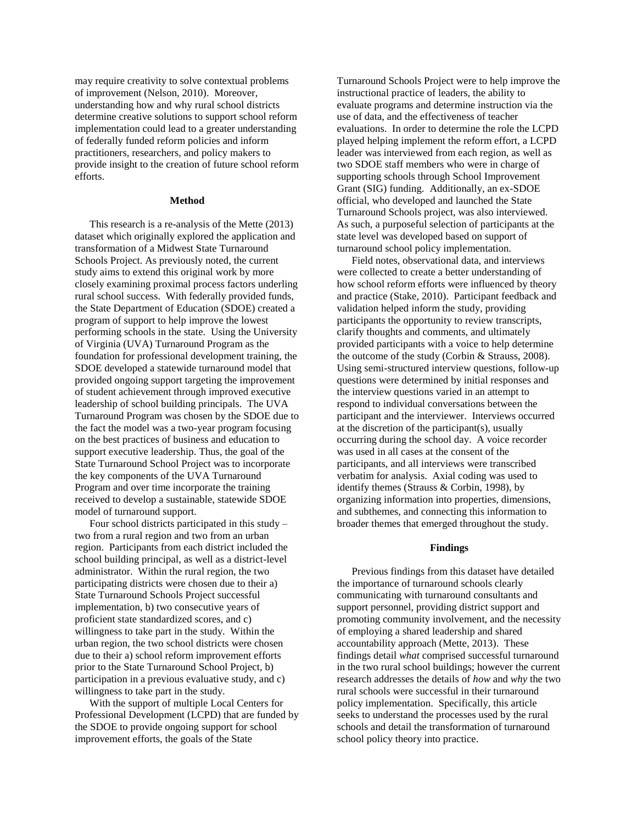may require creativity to solve contextual problems of improvement (Nelson, 2010). Moreover, understanding how and why rural school districts determine creative solutions to support school reform implementation could lead to a greater understanding of federally funded reform policies and inform practitioners, researchers, and policy makers to provide insight to the creation of future school reform efforts.

#### **Method**

This research is a re-analysis of the Mette (2013) dataset which originally explored the application and transformation of a Midwest State Turnaround Schools Project. As previously noted, the current study aims to extend this original work by more closely examining proximal process factors underling rural school success. With federally provided funds, the State Department of Education (SDOE) created a program of support to help improve the lowest performing schools in the state. Using the University of Virginia (UVA) Turnaround Program as the foundation for professional development training, the SDOE developed a statewide turnaround model that provided ongoing support targeting the improvement of student achievement through improved executive leadership of school building principals. The UVA Turnaround Program was chosen by the SDOE due to the fact the model was a two-year program focusing on the best practices of business and education to support executive leadership. Thus, the goal of the State Turnaround School Project was to incorporate the key components of the UVA Turnaround Program and over time incorporate the training received to develop a sustainable, statewide SDOE model of turnaround support.

Four school districts participated in this study – two from a rural region and two from an urban region. Participants from each district included the school building principal, as well as a district-level administrator. Within the rural region, the two participating districts were chosen due to their a) State Turnaround Schools Project successful implementation, b) two consecutive years of proficient state standardized scores, and c) willingness to take part in the study. Within the urban region, the two school districts were chosen due to their a) school reform improvement efforts prior to the State Turnaround School Project, b) participation in a previous evaluative study, and c) willingness to take part in the study.

With the support of multiple Local Centers for Professional Development (LCPD) that are funded by the SDOE to provide ongoing support for school improvement efforts, the goals of the State

Turnaround Schools Project were to help improve the instructional practice of leaders, the ability to evaluate programs and determine instruction via the use of data, and the effectiveness of teacher evaluations. In order to determine the role the LCPD played helping implement the reform effort, a LCPD leader was interviewed from each region, as well as two SDOE staff members who were in charge of supporting schools through School Improvement Grant (SIG) funding. Additionally, an ex-SDOE official, who developed and launched the State Turnaround Schools project, was also interviewed. As such, a purposeful selection of participants at the state level was developed based on support of turnaround school policy implementation.

Field notes, observational data, and interviews were collected to create a better understanding of how school reform efforts were influenced by theory and practice (Stake, 2010). Participant feedback and validation helped inform the study, providing participants the opportunity to review transcripts, clarify thoughts and comments, and ultimately provided participants with a voice to help determine the outcome of the study (Corbin & Strauss, 2008). Using semi-structured interview questions, follow-up questions were determined by initial responses and the interview questions varied in an attempt to respond to individual conversations between the participant and the interviewer. Interviews occurred at the discretion of the participant(s), usually occurring during the school day. A voice recorder was used in all cases at the consent of the participants, and all interviews were transcribed verbatim for analysis. Axial coding was used to identify themes (Strauss & Corbin, 1998), by organizing information into properties, dimensions, and subthemes, and connecting this information to broader themes that emerged throughout the study.

#### **Findings**

Previous findings from this dataset have detailed the importance of turnaround schools clearly communicating with turnaround consultants and support personnel, providing district support and promoting community involvement, and the necessity of employing a shared leadership and shared accountability approach (Mette, 2013). These findings detail *what* comprised successful turnaround in the two rural school buildings; however the current research addresses the details of *how* and *why* the two rural schools were successful in their turnaround policy implementation. Specifically, this article seeks to understand the processes used by the rural schools and detail the transformation of turnaround school policy theory into practice.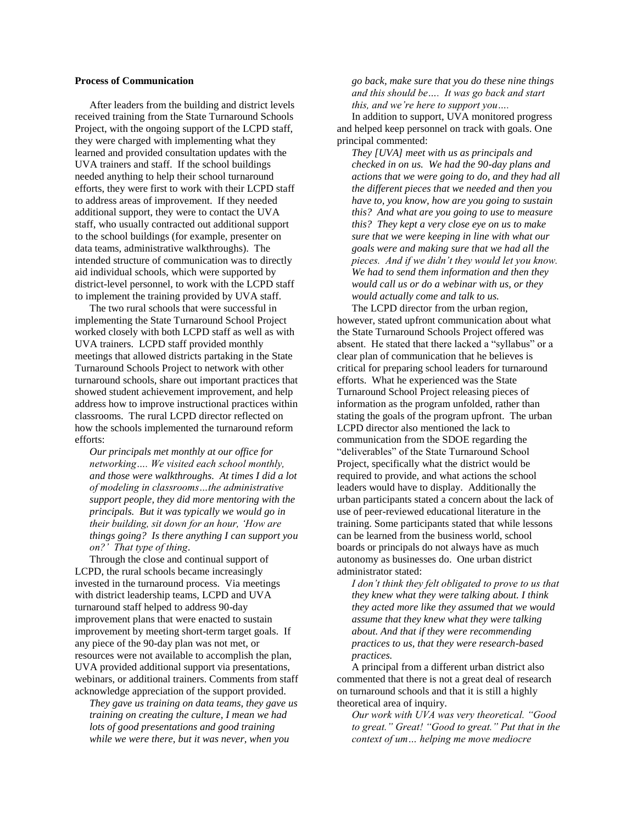#### **Process of Communication**

After leaders from the building and district levels received training from the State Turnaround Schools Project, with the ongoing support of the LCPD staff, they were charged with implementing what they learned and provided consultation updates with the UVA trainers and staff. If the school buildings needed anything to help their school turnaround efforts, they were first to work with their LCPD staff to address areas of improvement. If they needed additional support, they were to contact the UVA staff, who usually contracted out additional support to the school buildings (for example, presenter on data teams, administrative walkthroughs). The intended structure of communication was to directly aid individual schools, which were supported by district-level personnel, to work with the LCPD staff to implement the training provided by UVA staff.

The two rural schools that were successful in implementing the State Turnaround School Project worked closely with both LCPD staff as well as with UVA trainers. LCPD staff provided monthly meetings that allowed districts partaking in the State Turnaround Schools Project to network with other turnaround schools, share out important practices that showed student achievement improvement, and help address how to improve instructional practices within classrooms. The rural LCPD director reflected on how the schools implemented the turnaround reform efforts:

*Our principals met monthly at our office for networking…. We visited each school monthly, and those were walkthroughs. At times I did a lot of modeling in classrooms…the administrative support people, they did more mentoring with the principals. But it was typically we would go in their building, sit down for an hour, 'How are things going? Is there anything I can support you on?' That type of thing*.

Through the close and continual support of LCPD, the rural schools became increasingly invested in the turnaround process. Via meetings with district leadership teams, LCPD and UVA turnaround staff helped to address 90-day improvement plans that were enacted to sustain improvement by meeting short-term target goals. If any piece of the 90-day plan was not met, or resources were not available to accomplish the plan, UVA provided additional support via presentations, webinars, or additional trainers. Comments from staff acknowledge appreciation of the support provided.

*They gave us training on data teams, they gave us training on creating the culture, I mean we had lots of good presentations and good training while we were there, but it was never, when you* 

*go back, make sure that you do these nine things and this should be…. It was go back and start this, and we're here to support you….*

In addition to support, UVA monitored progress and helped keep personnel on track with goals. One principal commented:

*They [UVA] meet with us as principals and checked in on us. We had the 90-day plans and actions that we were going to do, and they had all the different pieces that we needed and then you have to, you know, how are you going to sustain this? And what are you going to use to measure this? They kept a very close eye on us to make sure that we were keeping in line with what our goals were and making sure that we had all the pieces. And if we didn't they would let you know. We had to send them information and then they would call us or do a webinar with us, or they would actually come and talk to us.*

The LCPD director from the urban region, however, stated upfront communication about what the State Turnaround Schools Project offered was absent. He stated that there lacked a "syllabus" or a clear plan of communication that he believes is critical for preparing school leaders for turnaround efforts. What he experienced was the State Turnaround School Project releasing pieces of information as the program unfolded, rather than stating the goals of the program upfront. The urban LCPD director also mentioned the lack to communication from the SDOE regarding the "deliverables" of the State Turnaround School Project, specifically what the district would be required to provide, and what actions the school leaders would have to display. Additionally the urban participants stated a concern about the lack of use of peer-reviewed educational literature in the training. Some participants stated that while lessons can be learned from the business world, school boards or principals do not always have as much autonomy as businesses do. One urban district administrator stated:

*I don't think they felt obligated to prove to us that they knew what they were talking about. I think they acted more like they assumed that we would assume that they knew what they were talking about. And that if they were recommending practices to us, that they were research-based practices.*

A principal from a different urban district also commented that there is not a great deal of research on turnaround schools and that it is still a highly theoretical area of inquiry.

*Our work with UVA was very theoretical. "Good to great." Great! "Good to great." Put that in the context of um… helping me move mediocre*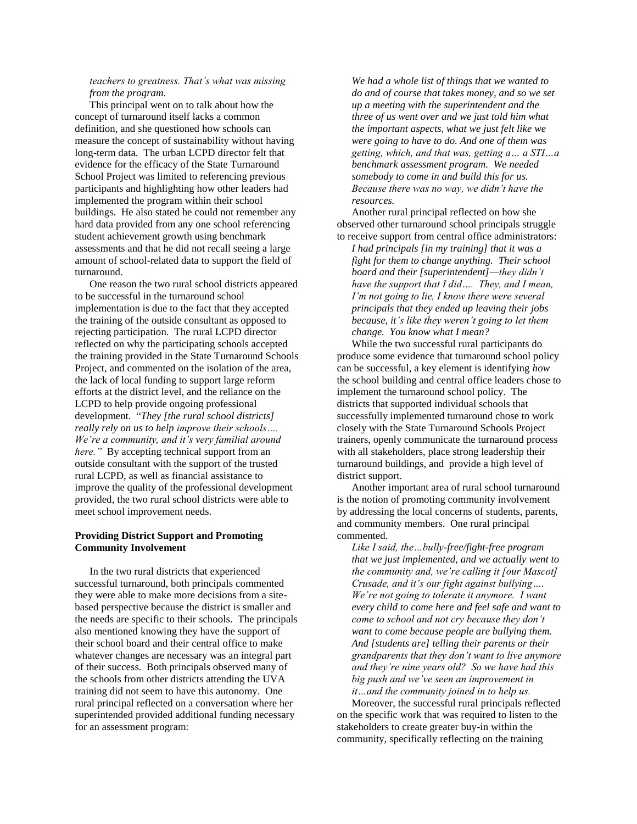#### *teachers to greatness. That's what was missing from the program.*

This principal went on to talk about how the concept of turnaround itself lacks a common definition, and she questioned how schools can measure the concept of sustainability without having long-term data. The urban LCPD director felt that evidence for the efficacy of the State Turnaround School Project was limited to referencing previous participants and highlighting how other leaders had implemented the program within their school buildings. He also stated he could not remember any hard data provided from any one school referencing student achievement growth using benchmark assessments and that he did not recall seeing a large amount of school-related data to support the field of turnaround.

One reason the two rural school districts appeared to be successful in the turnaround school implementation is due to the fact that they accepted the training of the outside consultant as opposed to rejecting participation. The rural LCPD director reflected on why the participating schools accepted the training provided in the State Turnaround Schools Project, and commented on the isolation of the area, the lack of local funding to support large reform efforts at the district level, and the reliance on the LCPD to help provide ongoing professional development. "*They [the rural school districts] really rely on us to help improve their schools…. We're a community, and it's very familial around here.*" By accepting technical support from an outside consultant with the support of the trusted rural LCPD, as well as financial assistance to improve the quality of the professional development provided, the two rural school districts were able to meet school improvement needs.

#### **Providing District Support and Promoting Community Involvement**

In the two rural districts that experienced successful turnaround, both principals commented they were able to make more decisions from a sitebased perspective because the district is smaller and the needs are specific to their schools. The principals also mentioned knowing they have the support of their school board and their central office to make whatever changes are necessary was an integral part of their success. Both principals observed many of the schools from other districts attending the UVA training did not seem to have this autonomy. One rural principal reflected on a conversation where her superintended provided additional funding necessary for an assessment program:

*We had a whole list of things that we wanted to do and of course that takes money, and so we set up a meeting with the superintendent and the three of us went over and we just told him what the important aspects, what we just felt like we were going to have to do. And one of them was getting, which, and that was, getting a… a STI…a benchmark assessment program. We needed somebody to come in and build this for us. Because there was no way, we didn't have the resources.*

Another rural principal reflected on how she observed other turnaround school principals struggle to receive support from central office administrators:

*I had principals [in my training] that it was a fight for them to change anything. Their school board and their [superintendent]—they didn't have the support that I did…. They, and I mean, I'm not going to lie, I know there were several principals that they ended up leaving their jobs because, it's like they weren't going to let them change. You know what I mean?*

While the two successful rural participants do produce some evidence that turnaround school policy can be successful, a key element is identifying *how* the school building and central office leaders chose to implement the turnaround school policy. The districts that supported individual schools that successfully implemented turnaround chose to work closely with the State Turnaround Schools Project trainers, openly communicate the turnaround process with all stakeholders, place strong leadership their turnaround buildings, and provide a high level of district support.

Another important area of rural school turnaround is the notion of promoting community involvement by addressing the local concerns of students, parents, and community members. One rural principal commented.

*Like I said, the…bully-free/fight-free program that we just implemented, and we actually went to the community and, we're calling it [our Mascot] Crusade, and it's our fight against bullying…. We're not going to tolerate it anymore. I want every child to come here and feel safe and want to come to school and not cry because they don't want to come because people are bullying them. And [students are] telling their parents or their grandparents that they don't want to live anymore and they're nine years old? So we have had this big push and we've seen an improvement in it…and the community joined in to help us.*

Moreover, the successful rural principals reflected on the specific work that was required to listen to the stakeholders to create greater buy-in within the community, specifically reflecting on the training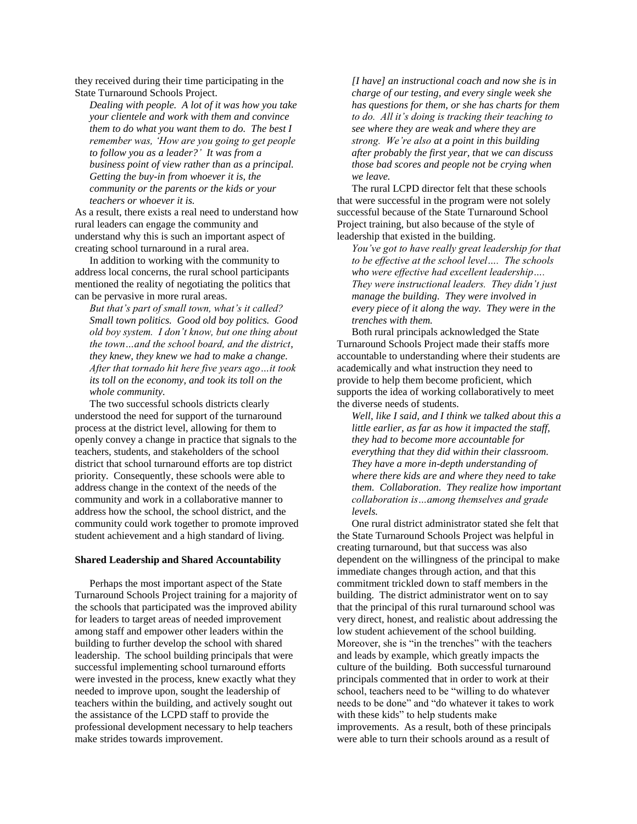they received during their time participating in the State Turnaround Schools Project.

*Dealing with people. A lot of it was how you take your clientele and work with them and convince them to do what you want them to do. The best I remember was, 'How are you going to get people to follow you as a leader?' It was from a business point of view rather than as a principal. Getting the buy-in from whoever it is, the community or the parents or the kids or your teachers or whoever it is.*

As a result, there exists a real need to understand how rural leaders can engage the community and understand why this is such an important aspect of creating school turnaround in a rural area.

In addition to working with the community to address local concerns, the rural school participants mentioned the reality of negotiating the politics that can be pervasive in more rural areas.

*But that's part of small town, what's it called? Small town politics. Good old boy politics. Good old boy system. I don't know, but one thing about the town…and the school board, and the district, they knew, they knew we had to make a change. After that tornado hit here five years ago…it took its toll on the economy, and took its toll on the whole community.*

The two successful schools districts clearly understood the need for support of the turnaround process at the district level, allowing for them to openly convey a change in practice that signals to the teachers, students, and stakeholders of the school district that school turnaround efforts are top district priority. Consequently, these schools were able to address change in the context of the needs of the community and work in a collaborative manner to address how the school, the school district, and the community could work together to promote improved student achievement and a high standard of living.

#### **Shared Leadership and Shared Accountability**

Perhaps the most important aspect of the State Turnaround Schools Project training for a majority of the schools that participated was the improved ability for leaders to target areas of needed improvement among staff and empower other leaders within the building to further develop the school with shared leadership. The school building principals that were successful implementing school turnaround efforts were invested in the process, knew exactly what they needed to improve upon, sought the leadership of teachers within the building, and actively sought out the assistance of the LCPD staff to provide the professional development necessary to help teachers make strides towards improvement.

*[I have] an instructional coach and now she is in charge of our testing, and every single week she has questions for them, or she has charts for them to do. All it's doing is tracking their teaching to see where they are weak and where they are strong. We're also at a point in this building after probably the first year, that we can discuss those bad scores and people not be crying when we leave.*

The rural LCPD director felt that these schools that were successful in the program were not solely successful because of the State Turnaround School Project training, but also because of the style of leadership that existed in the building.

*You've got to have really great leadership for that to be effective at the school level…. The schools who were effective had excellent leadership…. They were instructional leaders. They didn't just manage the building. They were involved in every piece of it along the way. They were in the trenches with them.*

Both rural principals acknowledged the State Turnaround Schools Project made their staffs more accountable to understanding where their students are academically and what instruction they need to provide to help them become proficient, which supports the idea of working collaboratively to meet the diverse needs of students.

*Well, like I said, and I think we talked about this a little earlier, as far as how it impacted the staff, they had to become more accountable for everything that they did within their classroom. They have a more in-depth understanding of where there kids are and where they need to take them. Collaboration. They realize how important collaboration is…among themselves and grade levels.*

One rural district administrator stated she felt that the State Turnaround Schools Project was helpful in creating turnaround, but that success was also dependent on the willingness of the principal to make immediate changes through action, and that this commitment trickled down to staff members in the building. The district administrator went on to say that the principal of this rural turnaround school was very direct, honest, and realistic about addressing the low student achievement of the school building. Moreover, she is "in the trenches" with the teachers and leads by example, which greatly impacts the culture of the building. Both successful turnaround principals commented that in order to work at their school, teachers need to be "willing to do whatever needs to be done" and "do whatever it takes to work with these kids" to help students make improvements. As a result, both of these principals were able to turn their schools around as a result of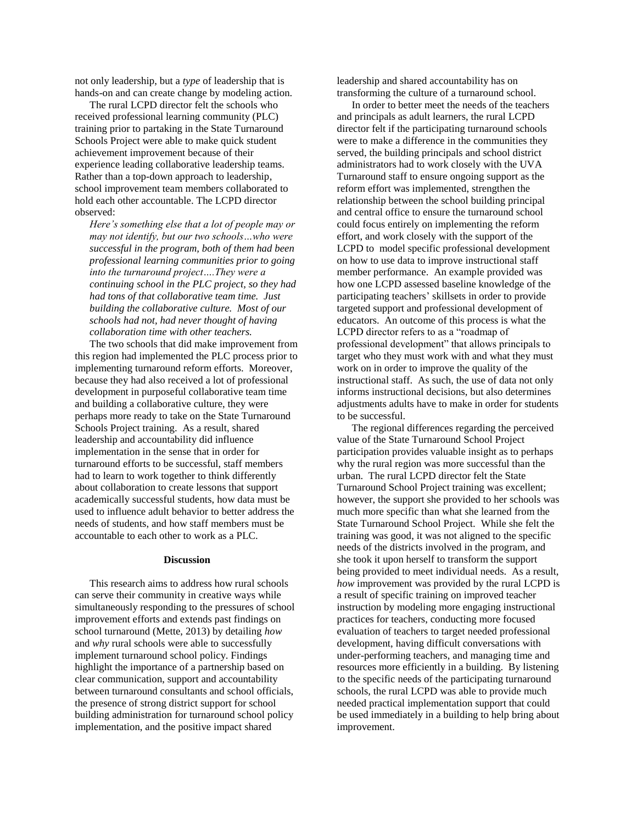not only leadership, but a *type* of leadership that is hands-on and can create change by modeling action.

The rural LCPD director felt the schools who received professional learning community (PLC) training prior to partaking in the State Turnaround Schools Project were able to make quick student achievement improvement because of their experience leading collaborative leadership teams. Rather than a top-down approach to leadership, school improvement team members collaborated to hold each other accountable. The LCPD director observed:

*Here's something else that a lot of people may or may not identify, but our two schools…who were successful in the program, both of them had been professional learning communities prior to going into the turnaround project….They were a continuing school in the PLC project, so they had had tons of that collaborative team time. Just building the collaborative culture. Most of our schools had not, had never thought of having collaboration time with other teachers.*

The two schools that did make improvement from this region had implemented the PLC process prior to implementing turnaround reform efforts. Moreover, because they had also received a lot of professional development in purposeful collaborative team time and building a collaborative culture, they were perhaps more ready to take on the State Turnaround Schools Project training. As a result, shared leadership and accountability did influence implementation in the sense that in order for turnaround efforts to be successful, staff members had to learn to work together to think differently about collaboration to create lessons that support academically successful students, how data must be used to influence adult behavior to better address the needs of students, and how staff members must be accountable to each other to work as a PLC.

#### **Discussion**

This research aims to address how rural schools can serve their community in creative ways while simultaneously responding to the pressures of school improvement efforts and extends past findings on school turnaround (Mette, 2013) by detailing *how* and *why* rural schools were able to successfully implement turnaround school policy. Findings highlight the importance of a partnership based on clear communication, support and accountability between turnaround consultants and school officials, the presence of strong district support for school building administration for turnaround school policy implementation, and the positive impact shared

leadership and shared accountability has on transforming the culture of a turnaround school.

In order to better meet the needs of the teachers and principals as adult learners, the rural LCPD director felt if the participating turnaround schools were to make a difference in the communities they served, the building principals and school district administrators had to work closely with the UVA Turnaround staff to ensure ongoing support as the reform effort was implemented, strengthen the relationship between the school building principal and central office to ensure the turnaround school could focus entirely on implementing the reform effort, and work closely with the support of the LCPD to model specific professional development on how to use data to improve instructional staff member performance. An example provided was how one LCPD assessed baseline knowledge of the participating teachers' skillsets in order to provide targeted support and professional development of educators. An outcome of this process is what the LCPD director refers to as a "roadmap of professional development" that allows principals to target who they must work with and what they must work on in order to improve the quality of the instructional staff. As such, the use of data not only informs instructional decisions, but also determines adjustments adults have to make in order for students to be successful.

The regional differences regarding the perceived value of the State Turnaround School Project participation provides valuable insight as to perhaps why the rural region was more successful than the urban. The rural LCPD director felt the State Turnaround School Project training was excellent; however, the support she provided to her schools was much more specific than what she learned from the State Turnaround School Project. While she felt the training was good, it was not aligned to the specific needs of the districts involved in the program, and she took it upon herself to transform the support being provided to meet individual needs. As a result, *how* improvement was provided by the rural LCPD is a result of specific training on improved teacher instruction by modeling more engaging instructional practices for teachers, conducting more focused evaluation of teachers to target needed professional development, having difficult conversations with under-performing teachers, and managing time and resources more efficiently in a building. By listening to the specific needs of the participating turnaround schools, the rural LCPD was able to provide much needed practical implementation support that could be used immediately in a building to help bring about improvement.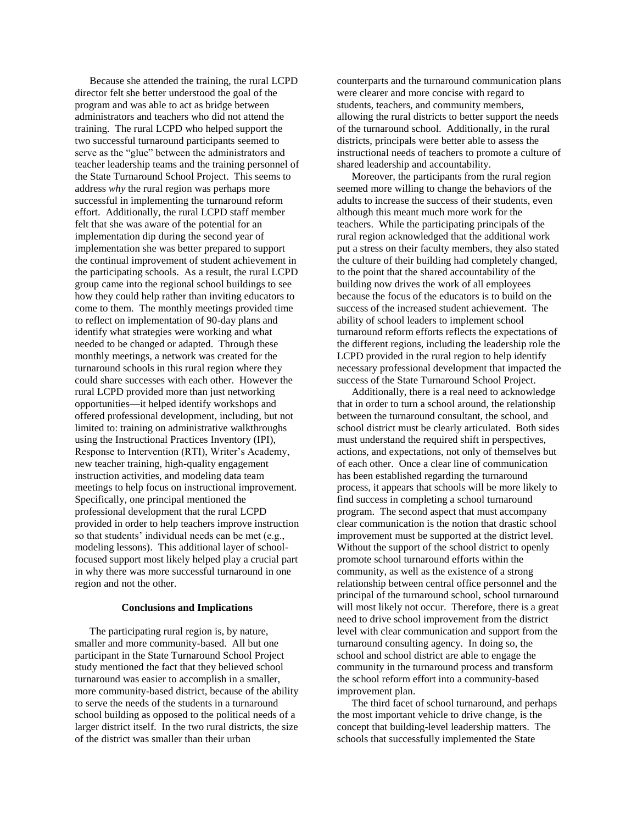Because she attended the training, the rural LCPD director felt she better understood the goal of the program and was able to act as bridge between administrators and teachers who did not attend the training. The rural LCPD who helped support the two successful turnaround participants seemed to serve as the "glue" between the administrators and teacher leadership teams and the training personnel of the State Turnaround School Project. This seems to address *why* the rural region was perhaps more successful in implementing the turnaround reform effort. Additionally, the rural LCPD staff member felt that she was aware of the potential for an implementation dip during the second year of implementation she was better prepared to support the continual improvement of student achievement in the participating schools.As a result, the rural LCPD group came into the regional school buildings to see how they could help rather than inviting educators to come to them. The monthly meetings provided time to reflect on implementation of 90-day plans and identify what strategies were working and what needed to be changed or adapted. Through these monthly meetings, a network was created for the turnaround schools in this rural region where they could share successes with each other. However the rural LCPD provided more than just networking opportunities—it helped identify workshops and offered professional development, including, but not limited to: training on administrative walkthroughs using the Instructional Practices Inventory (IPI), Response to Intervention (RTI), Writer's Academy, new teacher training, high-quality engagement instruction activities, and modeling data team meetings to help focus on instructional improvement. Specifically, one principal mentioned the professional development that the rural LCPD provided in order to help teachers improve instruction so that students' individual needs can be met (e.g., modeling lessons). This additional layer of schoolfocused support most likely helped play a crucial part in why there was more successful turnaround in one region and not the other.

#### **Conclusions and Implications**

The participating rural region is, by nature, smaller and more community-based. All but one participant in the State Turnaround School Project study mentioned the fact that they believed school turnaround was easier to accomplish in a smaller, more community-based district, because of the ability to serve the needs of the students in a turnaround school building as opposed to the political needs of a larger district itself. In the two rural districts, the size of the district was smaller than their urban

counterparts and the turnaround communication plans were clearer and more concise with regard to students, teachers, and community members, allowing the rural districts to better support the needs of the turnaround school. Additionally, in the rural districts, principals were better able to assess the instructional needs of teachers to promote a culture of shared leadership and accountability.

Moreover, the participants from the rural region seemed more willing to change the behaviors of the adults to increase the success of their students, even although this meant much more work for the teachers. While the participating principals of the rural region acknowledged that the additional work put a stress on their faculty members, they also stated the culture of their building had completely changed, to the point that the shared accountability of the building now drives the work of all employees because the focus of the educators is to build on the success of the increased student achievement. The ability of school leaders to implement school turnaround reform efforts reflects the expectations of the different regions, including the leadership role the LCPD provided in the rural region to help identify necessary professional development that impacted the success of the State Turnaround School Project.

Additionally, there is a real need to acknowledge that in order to turn a school around, the relationship between the turnaround consultant, the school, and school district must be clearly articulated. Both sides must understand the required shift in perspectives, actions, and expectations, not only of themselves but of each other. Once a clear line of communication has been established regarding the turnaround process, it appears that schools will be more likely to find success in completing a school turnaround program. The second aspect that must accompany clear communication is the notion that drastic school improvement must be supported at the district level. Without the support of the school district to openly promote school turnaround efforts within the community, as well as the existence of a strong relationship between central office personnel and the principal of the turnaround school, school turnaround will most likely not occur. Therefore, there is a great need to drive school improvement from the district level with clear communication and support from the turnaround consulting agency. In doing so, the school and school district are able to engage the community in the turnaround process and transform the school reform effort into a community-based improvement plan.

The third facet of school turnaround, and perhaps the most important vehicle to drive change, is the concept that building-level leadership matters. The schools that successfully implemented the State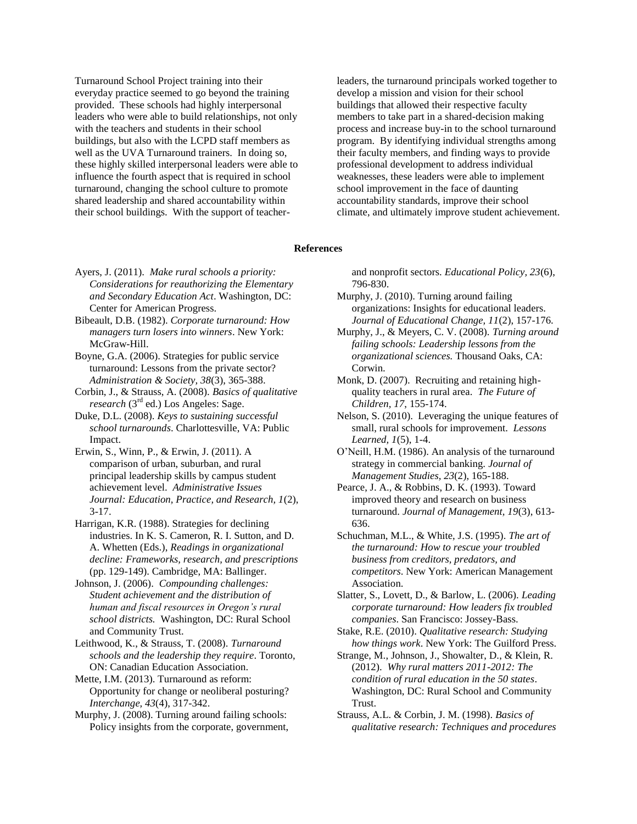Turnaround School Project training into their everyday practice seemed to go beyond the training provided. These schools had highly interpersonal leaders who were able to build relationships, not only with the teachers and students in their school buildings, but also with the LCPD staff members as well as the UVA Turnaround trainers. In doing so, these highly skilled interpersonal leaders were able to influence the fourth aspect that is required in school turnaround, changing the school culture to promote shared leadership and shared accountability within their school buildings. With the support of teacherleaders, the turnaround principals worked together to develop a mission and vision for their school buildings that allowed their respective faculty members to take part in a shared-decision making process and increase buy-in to the school turnaround program. By identifying individual strengths among their faculty members, and finding ways to provide professional development to address individual weaknesses, these leaders were able to implement school improvement in the face of daunting accountability standards, improve their school climate, and ultimately improve student achievement.

#### **References**

- Ayers, J. (2011). *Make rural schools a priority: Considerations for reauthorizing the Elementary and Secondary Education Act*. Washington, DC: Center for American Progress.
- Bibeault, D.B. (1982). *Corporate turnaround: How managers turn losers into winners*. New York: McGraw-Hill.
- Boyne, G.A. (2006). Strategies for public service turnaround: Lessons from the private sector? *Administration & Society, 38*(3), 365-388.
- Corbin, J., & Strauss, A. (2008). *Basics of qualitative research* (3rd ed.) Los Angeles: Sage.
- Duke, D.L. (2008). *Keys to sustaining successful school turnarounds*. Charlottesville, VA: Public Impact.
- Erwin, S., Winn, P., & Erwin, J. (2011). A comparison of urban, suburban, and rural principal leadership skills by campus student achievement level. *Administrative Issues Journal: Education, Practice, and Research, 1*(2), 3-17.
- Harrigan, K.R. (1988). Strategies for declining industries. In K. S. Cameron, R. I. Sutton, and D. A. Whetten (Eds.), *Readings in organizational decline: Frameworks, research, and prescriptions* (pp. 129-149). Cambridge, MA: Ballinger.
- Johnson, J. (2006). *Compounding challenges: Student achievement and the distribution of human and fiscal resources in Oregon's rural school districts.* Washington, DC: Rural School and Community Trust.
- Leithwood, K., & Strauss, T. (2008). *Turnaround schools and the leadership they require*. Toronto, ON: Canadian Education Association.
- Mette, I.M. (2013). Turnaround as reform: Opportunity for change or neoliberal posturing? *Interchange, 43*(4), 317-342.
- Murphy, J. (2008). Turning around failing schools: Policy insights from the corporate, government,

and nonprofit sectors. *Educational Policy, 23*(6), 796-830.

- Murphy, J. (2010). Turning around failing organizations: Insights for educational leaders. *Journal of Educational Change, 11*(2), 157-176.
- Murphy, J., & Meyers, C. V. (2008). *Turning around failing schools: Leadership lessons from the organizational sciences.* Thousand Oaks, CA: Corwin.
- Monk, D. (2007). Recruiting and retaining highquality teachers in rural area. *The Future of Children, 17*, 155-174.
- Nelson, S. (2010). Leveraging the unique features of small, rural schools for improvement. *Lessons Learned, 1*(5), 1-4.
- O'Neill, H.M. (1986). An analysis of the turnaround strategy in commercial banking. *Journal of Management Studies, 23*(2), 165-188.
- Pearce, J. A., & Robbins, D. K. (1993). Toward improved theory and research on business turnaround. *Journal of Management, 19*(3), 613- 636.
- Schuchman, M.L., & White, J.S. (1995). *The art of the turnaround: How to rescue your troubled business from creditors, predators, and competitors*. New York: American Management Association.
- Slatter, S., Lovett, D., & Barlow, L. (2006). *Leading corporate turnaround: How leaders fix troubled companies*. San Francisco: Jossey-Bass.
- Stake, R.E. (2010). *Qualitative research: Studying how things work*. New York: The Guilford Press.
- Strange, M., Johnson, J., Showalter, D., & Klein, R. (2012). *Why rural matters 2011-2012: The condition of rural education in the 50 states*. Washington, DC: Rural School and Community Trust.
- Strauss, A.L. & Corbin, J. M. (1998). *Basics of qualitative research: Techniques and procedures*